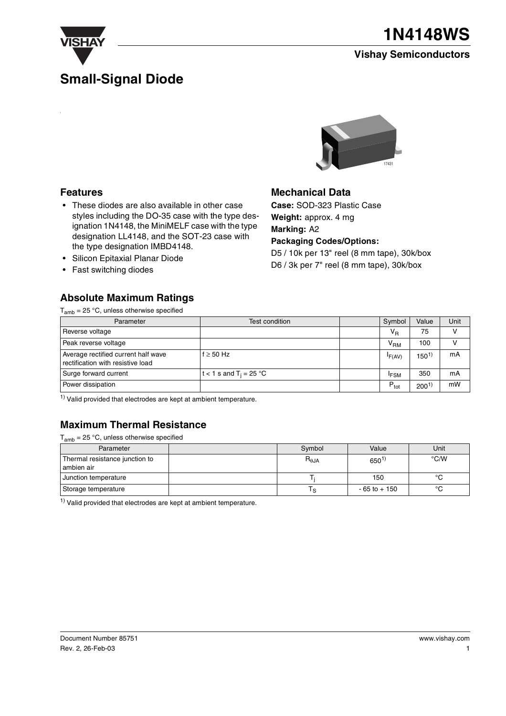

### **Small-Signal Diode**

### **Vishay Semiconductors**



### **Features**

- These diodes are also available in other case styles including the DO-35 case with the type designation 1N4148, the MiniMELF case with the type designation LL4148, and the SOT-23 case with the type designation IMBD4148.
- Silicon Epitaxial Planar Diode
- Fast switching diodes

### **Absolute Maximum Ratings**

 $T<sub>amb</sub> = 25 °C$ , unless otherwise specified



### **Mechanical Data**

**Case:** SOD-323 Plastic Case **Weight:** approx. 4 mg **Marking:** A2 **Packaging Codes/Options:** D5 / 10k per 13" reel (8 mm tape), 30k/box D6 / 3k per 7" reel (8 mm tape), 30k/box

| Parameter                                                                | Test condition                     | Symbol           | Value            | Unit |
|--------------------------------------------------------------------------|------------------------------------|------------------|------------------|------|
| Reverse voltage                                                          |                                    | $V_{R}$          | 75               |      |
| Peak reverse voltage                                                     |                                    | V <sub>RM</sub>  | 100              |      |
| Average rectified current half wave<br>rectification with resistive load | $f \geq 50$ Hz                     | F(AV)            | 150 <sup>1</sup> | mA   |
| Surge forward current                                                    | t < 1 s and T <sub>i</sub> = 25 °C | <sup>I</sup> FSM | 350              | mA   |
| Power dissipation                                                        |                                    | $P_{\text{tot}}$ | 200 <sup>1</sup> | mW   |

 $1)$  Valid provided that electrodes are kept at ambient temperature.

### **Maximum Thermal Resistance**

 $T_{amb}$  = 25 °C, unless otherwise specified

| Parameter                      | Symbol         | Value           | Unit          |  |
|--------------------------------|----------------|-----------------|---------------|--|
| Thermal resistance junction to | $R_{\theta$ JA | $650^{1}$       | $\degree$ C/W |  |
| ambien air                     |                |                 |               |  |
| Junction temperature           |                | 150             | $\sim$        |  |
| Storage temperature            | ۰s             | $-65$ to $+150$ | $\circ$       |  |

 $1)$  Valid provided that electrodes are kept at ambient temperature.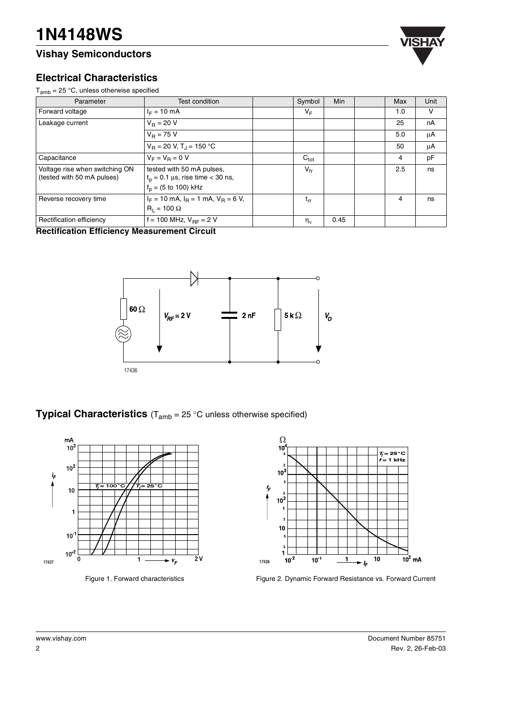### **Vishay Semiconductors**



### **Electrical Characteristics**

 $T_{amb}$  = 25 °C, unless otherwise specified

| Parameter                                                    | Test condition                                                                                                 | Symbol           | <b>Min</b> | Max | Unit |
|--------------------------------------------------------------|----------------------------------------------------------------------------------------------------------------|------------------|------------|-----|------|
| Forward voltage                                              | $I_F = 10$ mA                                                                                                  | $V_F$            |            | 1.0 | V    |
| Leakage current                                              | $V_B = 20 V$                                                                                                   |                  |            | 25  | nA   |
|                                                              | $V_{\rm B} = 75$ V                                                                                             |                  |            | 5.0 | μA   |
|                                                              | $V_B = 20 V, T_J = 150 °C$                                                                                     |                  |            | 50  | μA   |
| Capacitance                                                  | $V_F = V_B = 0 V$                                                                                              | $C_{\text{tot}}$ |            | 4   | pF   |
| Voltage rise when switching ON<br>(tested with 50 mA pulses) | tested with 50 mA pulses,<br>$t_p = 0.1 \mu s$ , rise time < 30 ns,<br>$f_p = (5 \text{ to } 100) \text{ kHz}$ | $V_{\text{fr}}$  |            | 2.5 | ns   |
| Reverse recovery time                                        | $I_F = 10$ mA, $I_B = 1$ mA, $V_B = 6$ V,<br>$R_1 = 100 \Omega$                                                | $t_{rr}$         |            | 4   | ns   |
| Rectification efficiency<br>- -                              | f = 100 MHz, $V_{BF}$ = 2 V<br>. <b>.</b> .                                                                    | $\eta_v$         | 0.45       |     |      |

**Rectification Efficiency Measurement Circuit**



**Typical Characteristics** (T<sub>amb</sub> = 25 °C unless otherwise specified)



Figure 1. Forward characteristics



Figure 2. Dynamic Forward Resistance vs. Forward Current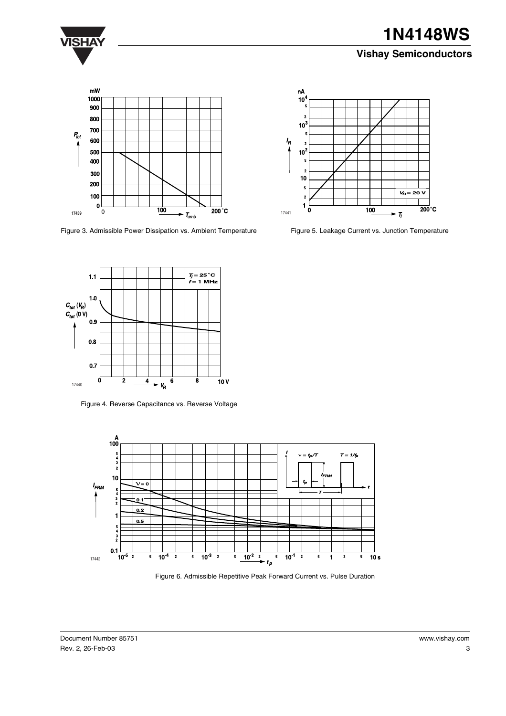

## **VISHAY 1N4148WS**

### **Vishay Semiconductors**



Figure 3. Admissible Power Dissipation vs. Ambient Temperature



Figure 5. Leakage Current vs. Junction Temperature



Figure 4. Reverse Capacitance vs. Reverse Voltage



Figure 6. Admissible Repetitive Peak Forward Current vs. Pulse Duration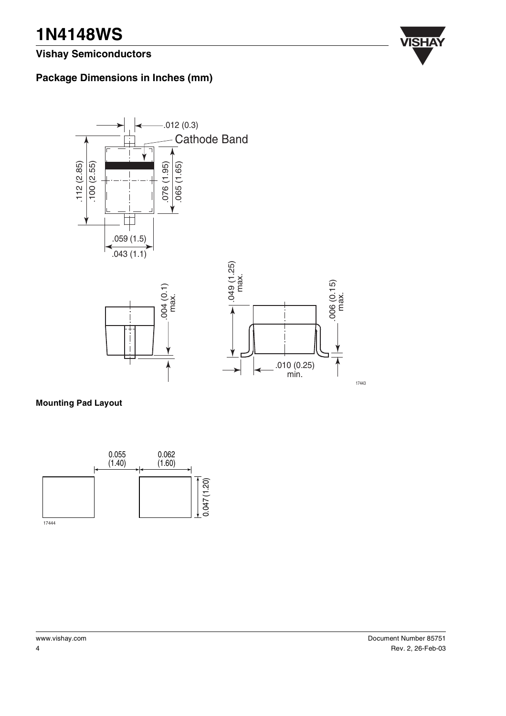# **VISHAY 1N4148WS**

**Vishay Semiconductors**



### **Package Dimensions in Inches (mm)**



**Mounting Pad Layout**



17443